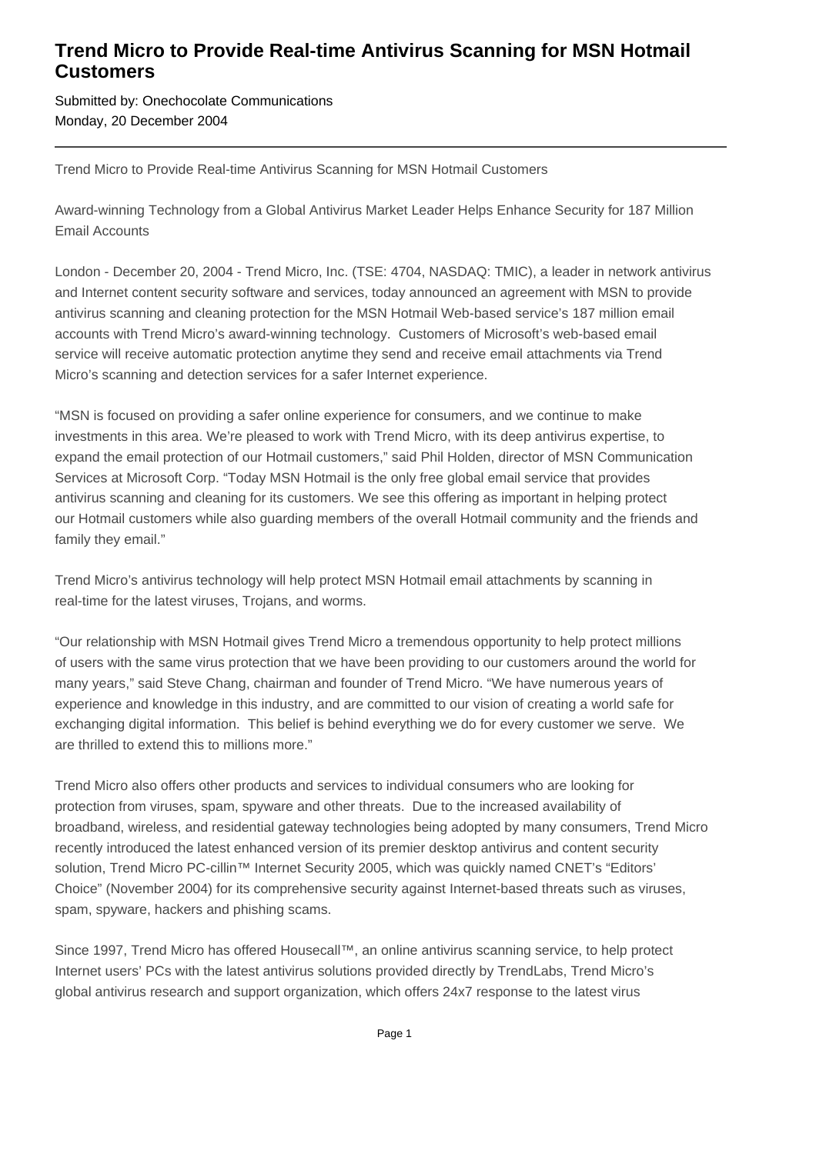## **Trend Micro to Provide Real-time Antivirus Scanning for MSN Hotmail Customers**

Submitted by: Onechocolate Communications Monday, 20 December 2004

Trend Micro to Provide Real-time Antivirus Scanning for MSN Hotmail Customers

Award-winning Technology from a Global Antivirus Market Leader Helps Enhance Security for 187 Million Email Accounts

London - December 20, 2004 - Trend Micro, Inc. (TSE: 4704, NASDAQ: TMIC), a leader in network antivirus and Internet content security software and services, today announced an agreement with MSN to provide antivirus scanning and cleaning protection for the MSN Hotmail Web-based service's 187 million email accounts with Trend Micro's award-winning technology. Customers of Microsoft's web-based email service will receive automatic protection anytime they send and receive email attachments via Trend Micro's scanning and detection services for a safer Internet experience.

"MSN is focused on providing a safer online experience for consumers, and we continue to make investments in this area. We're pleased to work with Trend Micro, with its deep antivirus expertise, to expand the email protection of our Hotmail customers," said Phil Holden, director of MSN Communication Services at Microsoft Corp. "Today MSN Hotmail is the only free global email service that provides antivirus scanning and cleaning for its customers. We see this offering as important in helping protect our Hotmail customers while also guarding members of the overall Hotmail community and the friends and family they email."

Trend Micro's antivirus technology will help protect MSN Hotmail email attachments by scanning in real-time for the latest viruses, Trojans, and worms.

"Our relationship with MSN Hotmail gives Trend Micro a tremendous opportunity to help protect millions of users with the same virus protection that we have been providing to our customers around the world for many years," said Steve Chang, chairman and founder of Trend Micro. "We have numerous years of experience and knowledge in this industry, and are committed to our vision of creating a world safe for exchanging digital information. This belief is behind everything we do for every customer we serve. We are thrilled to extend this to millions more."

Trend Micro also offers other products and services to individual consumers who are looking for protection from viruses, spam, spyware and other threats. Due to the increased availability of broadband, wireless, and residential gateway technologies being adopted by many consumers, Trend Micro recently introduced the latest enhanced version of its premier desktop antivirus and content security solution, Trend Micro PC-cillin™ Internet Security 2005, which was quickly named CNET's "Editors' Choice" (November 2004) for its comprehensive security against Internet-based threats such as viruses, spam, spyware, hackers and phishing scams.

Since 1997, Trend Micro has offered Housecall™, an online antivirus scanning service, to help protect Internet users' PCs with the latest antivirus solutions provided directly by TrendLabs, Trend Micro's global antivirus research and support organization, which offers 24x7 response to the latest virus